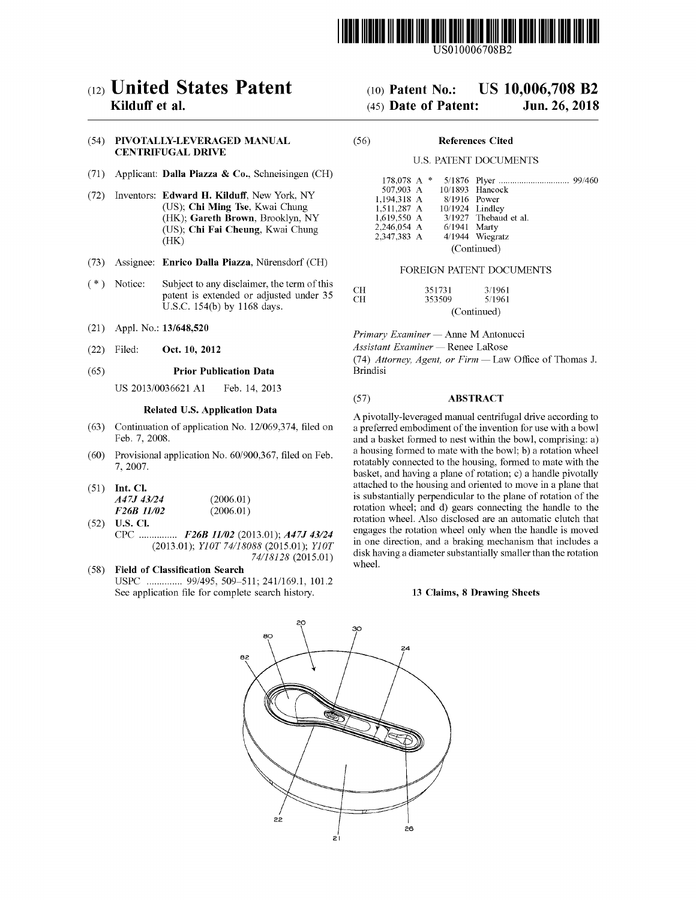

### (54) PIVOTALLY-LEVERAGED MANUAL CENTRIFUGAL DRIVE

- (71) Applicant: Dalla Piazza & Co., Schneisingen (CH)
- (72) Inventors: Edward H. Kilduff, New York, NY (US); Chi Ming Tse, Kwai Chung (HK); Gareth Brown, Brooklyn, NY (US); Chi Fai Cheung, Kwai Chung<br>(HK)
- (73) Assignee: Enrico Dalla Piazza, Nürensdorf (CH) FOREIGN PATENT DOCUMENTS
- (\*) Notice: Subject to any disclaimer, the term of this patent is extended or adjusted under 35 U.S.C. 154(b) by 1168 days.
- (21) Appl. No.: 13/648,520
- (22) Filed: Oct. 10, 2012

### Related U.S. Application Data

- (63) Continuation of application No. 12/069,374, filed on Feb. 7, 2008.
- (60) Provisional application No.  $60/900,367$ , filed on Feb. 7, 2007.
- (51) Int. Cl.<br>  $A47J\ 43/24$  (2006.01)<br>  $E26R\ 11/22$  (2006.01)

| <i>F26B 11/02</i> | (2006.01) |
|-------------------|-----------|
| 52) U.S. CI.      |           |

- (52) U.S. CI.<br>CPC ................  $F26B$  11/02 (2013.01); A47J 43/24 (2013.01); Y10T 74/18088 (2015.01); Y10T 74/18128 (2015.01)
- (58) Field of Classification Search USPC .............. 99/495, 509-511; 241/169.1, 101.2 See application file for complete search history.

# ( $12$ ) **United States Patent** ( $10$ ) Patent No.: US 10,006,708 B2<br>Kilduff et al. ( $45$ ) Date of Patent: Jun. 26, 2018

### $(45)$  Date of Patent: Jun. 26, 2018

### ( 56 ) References Cited

### U.S. PATENT DOCUMENTS

| 178,078 A $*$ |  |  |                 |                           |  |  |
|---------------|--|--|-----------------|---------------------------|--|--|
|               |  |  |                 | 507,903 A 10/1893 Hancock |  |  |
| 1.194.318 A   |  |  | 8/1916 Power    |                           |  |  |
| 1.511.287 A   |  |  | 10/1924 Lindley |                           |  |  |
| 1,619,550 A   |  |  |                 | 3/1927 Thebaud et al.     |  |  |
| 2,246,054 A   |  |  | 6/1941 Marty    |                           |  |  |
| 2.347.383 A   |  |  |                 | $4/1944$ Wiegratz         |  |  |
| (Continued)   |  |  |                 |                           |  |  |

| CН | 351731 | 3/1961      |
|----|--------|-------------|
| CН | 353509 | 5/1961      |
|    |        | (Continued) |

Primary Examiner — Anne M Antonucci

Assistant Examiner — Renee LaRose

(74) Attorney, Agent, or Firm — Law Office of Thomas J.  $(65)$  Prior Publication Data Brindisi

## US 2013/0036621 A1 Feb. 14, 2013 (57) **ABSTRACT**

A pivotally-leveraged manual centrifugal drive according to a preferred embodiment of the invention for use with a bowl and a basket formed to nest within the bowl, comprising: a) a housing formed to mate with the bowl; b) a rotation wheel rotatably connected to the housing, formed to mate with the basket, and having a plane of rotation; c) a handle pivotally attached to the housing and oriented to move in a plane that is substantially perpendicular to the plane of rotation of the rotation wheel; and d) gears connecting the handle to the rotation wheel . Also disclosed are an automatic clutch that engages the rotation wheel only when the handle is moved in one direction, and a braking mechanism that includes a disk having a diameter substantially smaller than the rotation wheel.

### 13 Claims, 8 Drawing Sheets

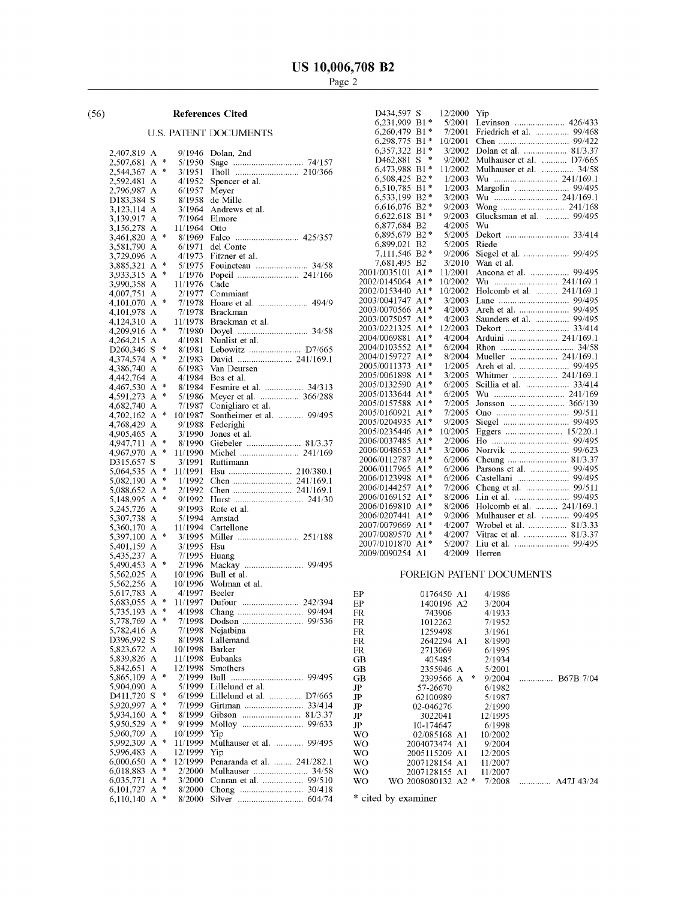### ( 56 ) References Cited

### U.S. PATENT DOCUMENTS

| 2,407,819                           | А      |        | 9/1946            | Dolan, 2nd                                       |
|-------------------------------------|--------|--------|-------------------|--------------------------------------------------|
| 2,507,681                           | А      | *      | 5/1950            |                                                  |
| 2,544,367                           | А      | *      | 3/1951            |                                                  |
| 2,592,481                           | А      |        | 4/1952            | Spencer et al.                                   |
| 2,796,987                           | Α      |        | 6/1957            | Meyer                                            |
| D183,384                            | S      |        | 8/1958            | de Mille                                         |
| 3,123,114                           | А      |        | 3/1964            | Andrews et al.                                   |
| 3,139,917                           | А      |        | 7/1964            | Elmore                                           |
| 3,156,278                           | А      | *      | 11/1964           | Otto                                             |
| 3,461,820                           | А      |        | 8/1969            | Falco                                            |
| 3,581,790                           | Α      |        | 6/1971            | del Conte                                        |
| 3,729,096                           | Α      | 净      | 4/1973<br>5/1975  | Fitzner et al.                                   |
| 3,885,321                           | А      | 咔      | 1/1976            | 34/58<br>Fouineteau                              |
| 3,933,315                           | А      |        |                   |                                                  |
| 3,990,358                           | Α      |        | 11/1976           | Cade                                             |
| 4,007,751                           | А<br>A | 咔      | 2/1977<br>7/1978  | Commiant<br>Hoare et al.<br>494/9                |
| 4,101,070<br>4,101,978              | А      |        | 7/1978            | Brackman                                         |
|                                     |        |        | 11/1978           | Brackman et al.                                  |
| 4,124,310                           | А<br>A | 咔      | 7/1980            | 34/58                                            |
| 4,209,916                           | А      |        | 4/1981            | Nunlist et al.                                   |
| 4,264,215<br>D <sub>260</sub> , 346 | S      | *      | 8/1981            | Lebowitz  D7/665                                 |
|                                     |        | 永      |                   |                                                  |
| 4,374,574                           | Α<br>А |        | 2/1983<br>6/1983  | Van Deursen                                      |
| 4,386,740                           | А      |        | 4/1984            | Bos et al.                                       |
| 4,442,764                           | А      | *      | 8/1984            | Fesmire et al.<br>34/313                         |
| 4,467,530                           |        | $\ast$ |                   |                                                  |
| 4,591,273                           | А<br>Α |        | 5/1986<br>7/1987  | Meyer et al.  366/288                            |
| 4,682,740                           | А      | ∗      |                   | Conigliaro et al.<br>99/495<br>Sontheimer et al. |
| 4,702,162<br>4,768,429              | А      |        | 10/1987<br>9/1988 | .<br>Federighi                                   |
| 4,905,465                           | Α      |        | 3/1990            | Jones et al.                                     |
| 4,947,711                           | А      | 咔      | 8/1990            | Giebeler  81/3.37                                |
| 4,967,970                           | Α      | *      | 11/1990           |                                                  |
| D315,657                            | S      |        | 3/1991            | Ruttimann                                        |
| 5,064,535                           | Α      | 4      | 11/1991           |                                                  |
| 5,082,190                           | Α      | 净      | 1/1992            |                                                  |
| 5,088,652                           | А      | *      | 2/1992            |                                                  |
| 5,148,995                           | А      | 永      | 9/1992            |                                                  |
| 5,245,726                           | Α      |        | 9/1993            | Rote et al.                                      |
| 5,307,738                           | А      |        | 5/1994            | Amstad                                           |
| 5,360,170                           | А      |        | 11/1994           | Cartellone                                       |
| 5,397,100                           | А      | *      | 3/1995            | Miller                                           |
| 5,401,159                           | Α      |        | 3/1995            | Hsu                                              |
| 5,435,237                           | A      |        | 7/1995            | Huang                                            |
| 5,490,453                           | А      | *      | 2/1996            | 99/495<br>Mackay                                 |
| 5,562,025                           | А      |        | 10/1996           | Bull et al.                                      |
| 5,562,256                           | А      |        | 10/1996           | Wolman et al.                                    |
| 5,617,783                           | А      |        | 4/1997            | Beeler                                           |
| 5,683,055                           | Α      | 净      | 11/1997           |                                                  |
| 5,735,193                           | А      | *      | 4/1998            | 99/494                                           |
| 5,778,769                           | Α      | *      | 7/1998            | 99/536                                           |
| 5,782,416                           | Α      |        | 7/1998            | Nejatbina                                        |
| D396,992                            | S      |        | 8/1998            | Lallemand                                        |
| 5,823,672                           | Α      |        | 10/1998           | Barker                                           |
| 5,839,826 A                         |        |        | 11/1998           | Eubanks                                          |
| 5,842,651                           | А      |        | 12/1998           | Smothers                                         |
| 5,865,109                           | Α      | *      | 2/1999            | Bull                                             |
| 5,904,090                           | Α      |        | 5/1999            | Lillelund et al.                                 |
| D411,720                            | S      | $\ast$ | 6/1999            | Lillelund et al.                                 |
| 5,920,997                           | A      | 净      | 7/1999            |                                                  |
| 5,934,160                           | А      | *      | 8/1999            | Gibson                                           |
| 5,950,529                           | А      | $\ast$ | 9/1999            |                                                  |
| 5,960,709                           | Α      |        | 10/1999           | Yip                                              |
| 5,992,309                           | А      | ÷      | 11/1999           | Mulhauser et al.  99/495                         |
| 5,996,483                           |        |        |                   |                                                  |
|                                     | А      |        | 12/1999           | Yip                                              |
| 6,000,650                           | Α      | *      | 12/1999           | Penaranda et al.  241/282.1                      |
| 6,018,883                           | А      | $\ast$ | 2/2000            | Mulhauser  34/58                                 |
| 6,035,771                           | А      | *      | 3/2000            |                                                  |
| 6,101,727<br>6,110,140              | Α<br>А | 净<br>* | 8/2000<br>8/2000  | Chong<br>Silver<br>604/74                        |

| <b>References Cited</b> |              |                               | D434,597 S                | 12/2000 Yip |                                   |  |
|-------------------------|--------------|-------------------------------|---------------------------|-------------|-----------------------------------|--|
|                         |              |                               | 6,231,909 B1*             |             | 5/2001 Levinson  426/433          |  |
|                         |              | . PATENT DOCUMENTS            | 6.260.479 B1*             | 7/2001      | Friedrich et al.  99/468          |  |
|                         |              |                               | 6,298,775 B1 $*$          | 10/2001     |                                   |  |
|                         |              | $9/1946$ Dolan, 2nd           | 6,357,322 B1*             | 3/2002      |                                   |  |
| ŀ                       | 5/1950       |                               | D462,881 S *              | 9/2002      | Mulhauser et al.  D7/665          |  |
|                         | 3/1951       |                               | 6,473,988 B1*             | 11/2002     | Mulhauser et al.  34/58           |  |
|                         | 4/1952       | Spencer et al.                | 6,508,425 B2 *            | 1/2003      |                                   |  |
|                         | 6/1957       | Meyer                         | 6,510,785 B1 *            | 1/2003      |                                   |  |
|                         | 8/1958       | de Mille                      | 6,533,199 B2 <sup>*</sup> | 3/2003      |                                   |  |
|                         | 3/1964       | Andrews et al.                | 6.616.076 B2*             | 9/2003      |                                   |  |
|                         | 7/1964       | Elmore                        | $6.622.618 B1*$           | 9/2003      | Glucksman et al.  99/495          |  |
|                         | 11/1964      | Otto                          | 6,877,684 B2              | 4/2005      | Wu                                |  |
| ł.                      |              |                               | 6,895,679 B2*             | 5/2005      |                                   |  |
|                         | 6/1971       | del Conte                     | 6,899,021 B2              | 5/2005      | Riede                             |  |
|                         |              | $4/1973$ Fitzner et al.       | 7,111,546 B2 *            | 9/2006      | Siegel et al.  99/495             |  |
| k                       | 5/1975       | Fouineteau  34/58             | 7,681,495 B2              | 3/2010      | Wan et al.                        |  |
| ţ.                      |              |                               | 2001/0035101 A1*          | 11/2001     | Ancona et al.  99/495             |  |
|                         | 11/1976 Cade |                               | 2002/0145064 A1*          |             |                                   |  |
|                         |              | 2/1977 Commiant               | 2002/0153440 A1*          |             | 10/2002 Holcomb et al.  241/169.1 |  |
| ł.                      |              |                               | 2003/0041747 A1*          | 3/2003      |                                   |  |
|                         |              | 7/1978 Brackman               | 2003/0070566 A1*          | 4/2003      |                                   |  |
|                         |              | 11/1978 Brackman et al.       | 2003/0075057 A1*          | 4/2003      | Saunders et al.  99/495           |  |
| ł.                      |              |                               | 2003/0221325 A1*          | 12/2003     |                                   |  |
|                         |              | 4/1981 Nunlist et al.         | 2004/0069881 A1*          | 4/2004      |                                   |  |
| ł.                      |              | 8/1981 Lebowitz  D7/665       | 2004/0103552 A1*          | 6/2004      |                                   |  |
| ğ.                      |              |                               | 2004/0159727 A1*          | 8/2004      | Mueller  241/169.1                |  |
|                         | 6/1983       | Van Deursen                   | 2005/0011373 A1*          | 1/2005      |                                   |  |
|                         |              | $4/1984$ Bos et al.           | 2005/0061898 A1*          | 3/2005      |                                   |  |
| ł.                      |              | 8/1984 Fesmire et al.  34/313 | 2005/0132590 A1*          | 6/2005      |                                   |  |
| ł.                      |              | 5/1986 Meyer et al.  366/288  | 2005/0133644 A1*          | 6/2005      |                                   |  |
|                         |              | 7/1987 Conigliaro et al.      | 2005/0157588 A1*          | 7/2005      |                                   |  |
| ł                       | 10/1987      | Sontheimer et al.  99/495     | 2005/0160921 A1*          | 7/2005      |                                   |  |
|                         |              | 9/1988 Federighi              | 2005/0204935 A1*          | 9/2005      |                                   |  |
|                         | 3/1990       | Jones et al.                  | 2005/0235446 A1*          | 10/2005     |                                   |  |
| ł.                      |              | 8/1990 Giebeler  81/3.37      | 2006/0037485 A1*          | 2/2006      |                                   |  |
| ł.                      | 11/1990      |                               | 2006/0048653 A1*          |             |                                   |  |
|                         | 3/1991       | Ruttimann                     | 2006/0112787 A1*          | 6/2006      |                                   |  |
| ķ                       | 11/1991      |                               | 2006/0117965 A1*          |             | 6/2006 Parsons et al.  99/495     |  |
| k                       |              |                               | 2006/0123998 A1*          |             | 6/2006 Castellani  99/495         |  |
| ł.                      |              |                               | 2006/0144257 A1*          | 7/2006      |                                   |  |
| ł.                      | 9/1992       |                               | 2006/0169152 A1*          |             |                                   |  |
|                         | 9/1993       | Rote et al.                   | 2006/0169810 A1*          | 8/2006      | Holcomb et al.  241/169.1         |  |
|                         | 5/1994       | Amstad                        | 2006/0207441 A1*          | 9/2006      | Mulhauser et al.  99/495          |  |
|                         | 11/1994      | Cartellone                    | 2007/0079669 A1*          | 4/2007      | Wrobel et al.  81/3.33            |  |
| ł.                      | 3/1995       |                               | 2007/0089570 A1*          | 4/2007      |                                   |  |
|                         | 3/1995       | Hsu                           | 2007/0101870 A1*          | 5/2007      |                                   |  |
|                         | 7/1995       | Huang                         | 2009/0090254 A1           |             | 4/2009 Herren                     |  |
|                         |              |                               |                           |             |                                   |  |

### FOREIGN PATENT DOCUMENTS

| ЕP  | 0176450 A1         |   | 4/1986  |  |
|-----|--------------------|---|---------|--|
| ЕP  | 1400196 A2         |   | 3/2004  |  |
| FR  | 743906             |   | 4/1933  |  |
| FR  | 1012262            |   | 7/1952  |  |
| FR  | 1259498            |   | 3/1961  |  |
| FR  | 2642294 A1         |   | 8/1990  |  |
| FR. | 2713069            |   | 6/1995  |  |
| GВ  | 405485             |   | 2/1934  |  |
| GВ  | 2355946 A          |   | 5/2001  |  |
| GВ  | 2399566 A          | ₩ | 9/2004  |  |
| JP  | 57-26670           |   | 6/1982  |  |
| JP  | 62100989           |   | 5/1987  |  |
| JP  | 02-046276          |   | 2/1990  |  |
| JP  | 3022041            |   | 12/1995 |  |
| JP  | 10-174647          |   | 6/1998  |  |
| WО  | 02/085168 A1       |   | 10/2002 |  |
| WO  | 2004073474 A1      |   | 9/2004  |  |
| WO  | 2005115209 A1      |   | 12/2005 |  |
| WO  | 2007128154 A1      |   | 11/2007 |  |
| WO  | 2007128155 A1      |   | 11/2007 |  |
| WО  | WO 2008080132 A2 * |   | 7/2008  |  |
|     |                    |   |         |  |

\* cited by examiner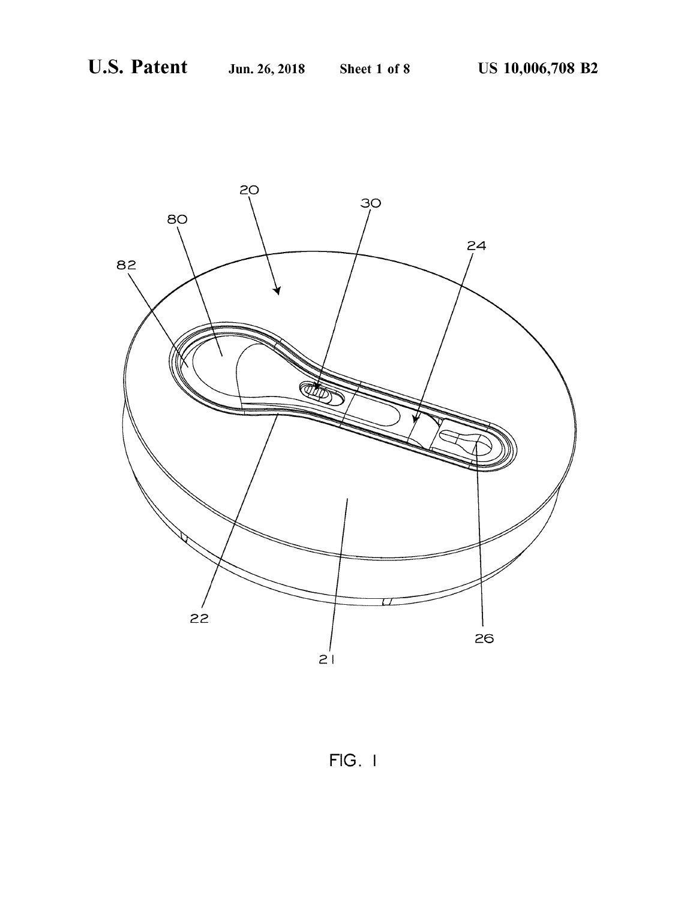

 $FIG. 1$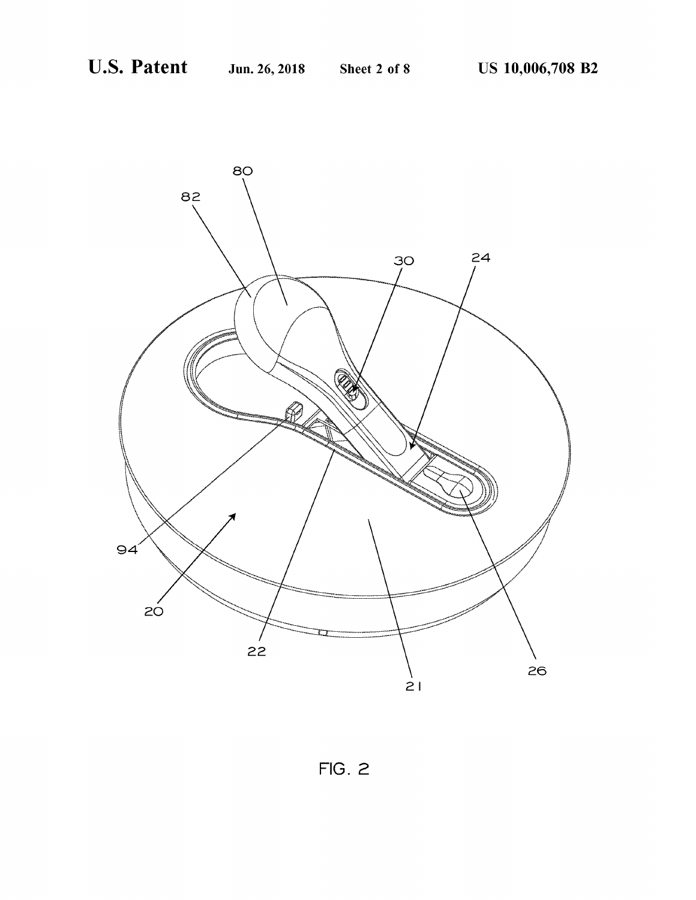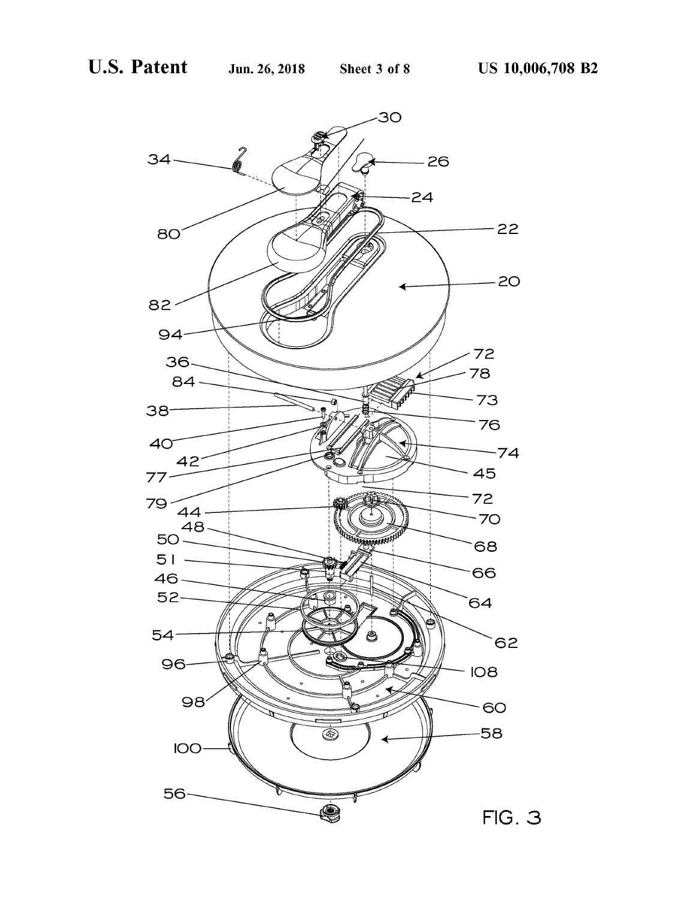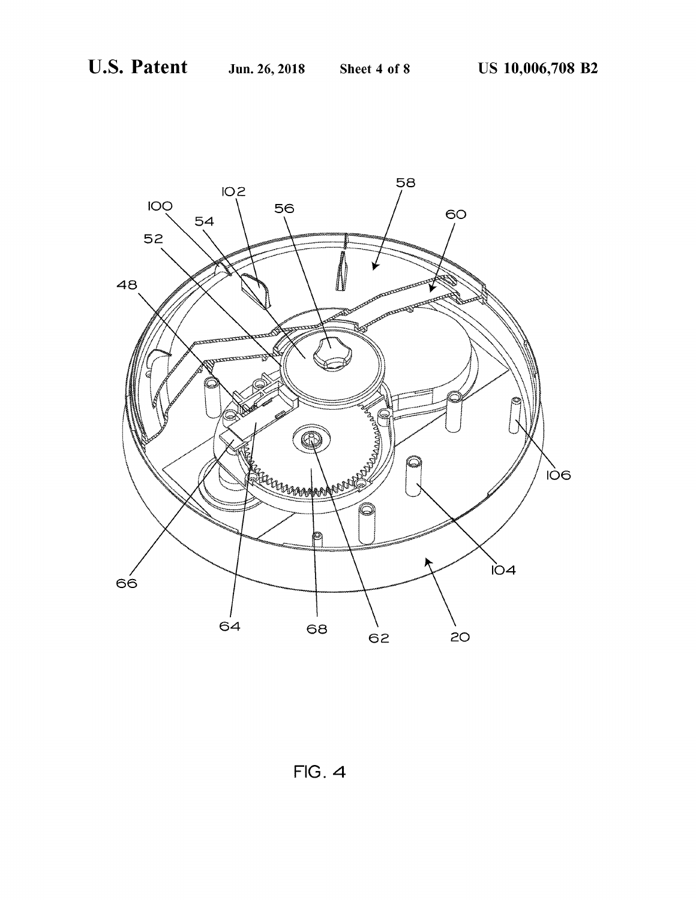

 $FIG. 4$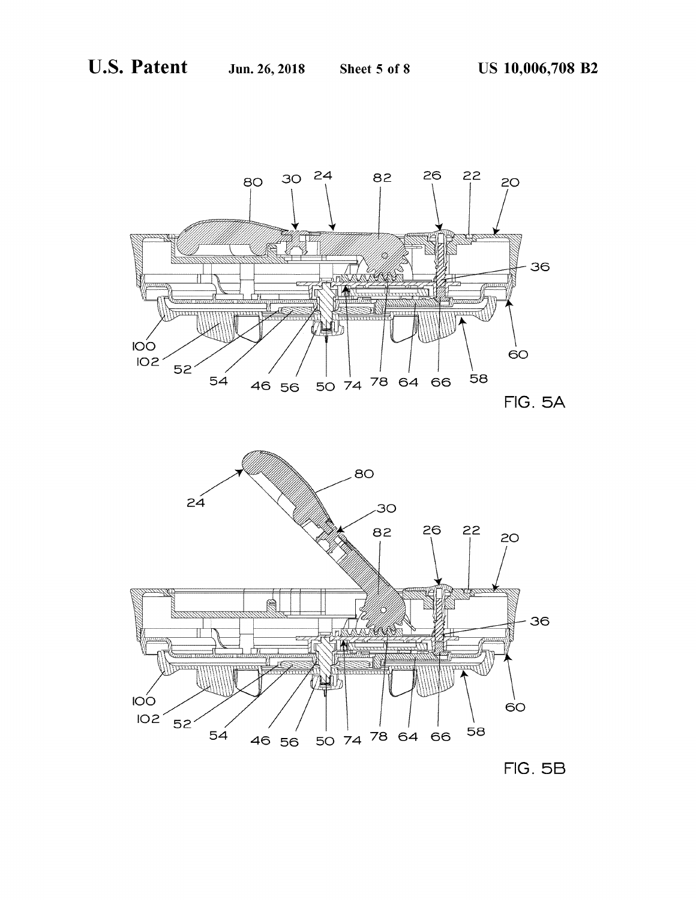

10 11 . 3 LIST

пI

隐



 $46$  56 50 74 78 64 66 58



 $60$ 

36

ll<del>e anns anns</del>

54

 $\sim$ 

 $102 \, 52$ 

36

 $60$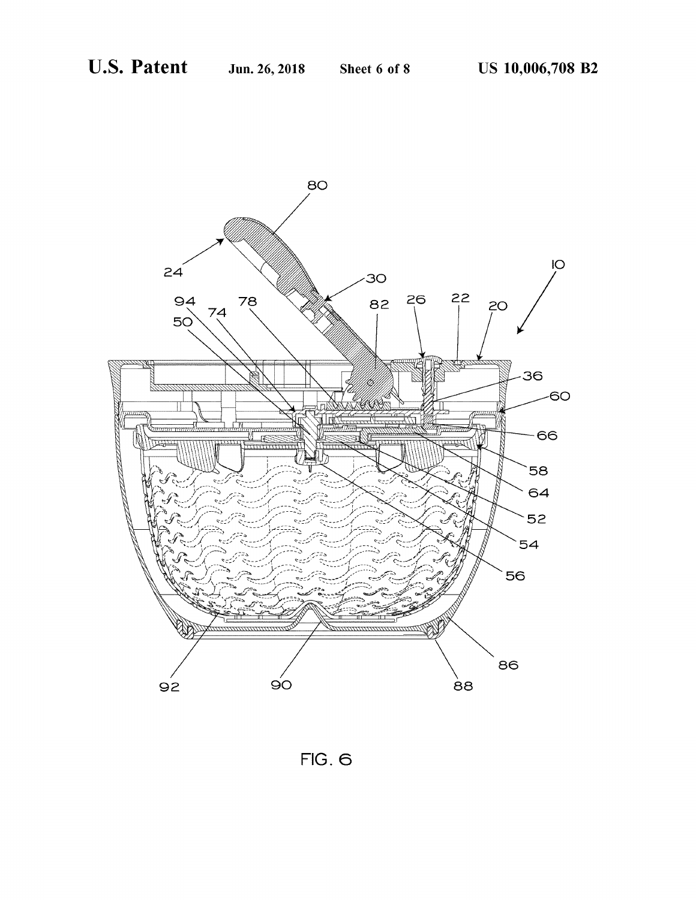

FIG. 6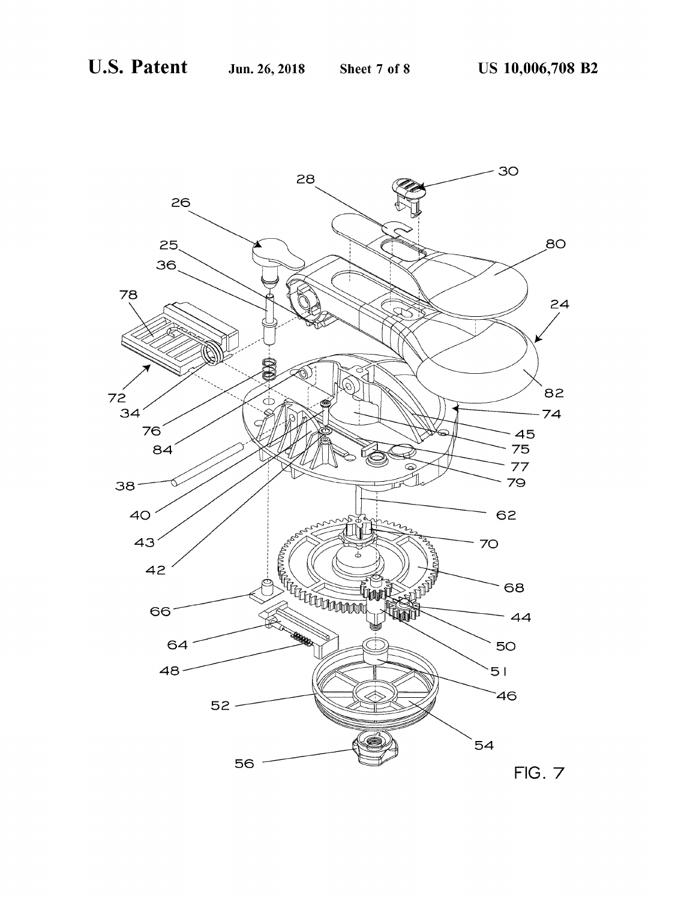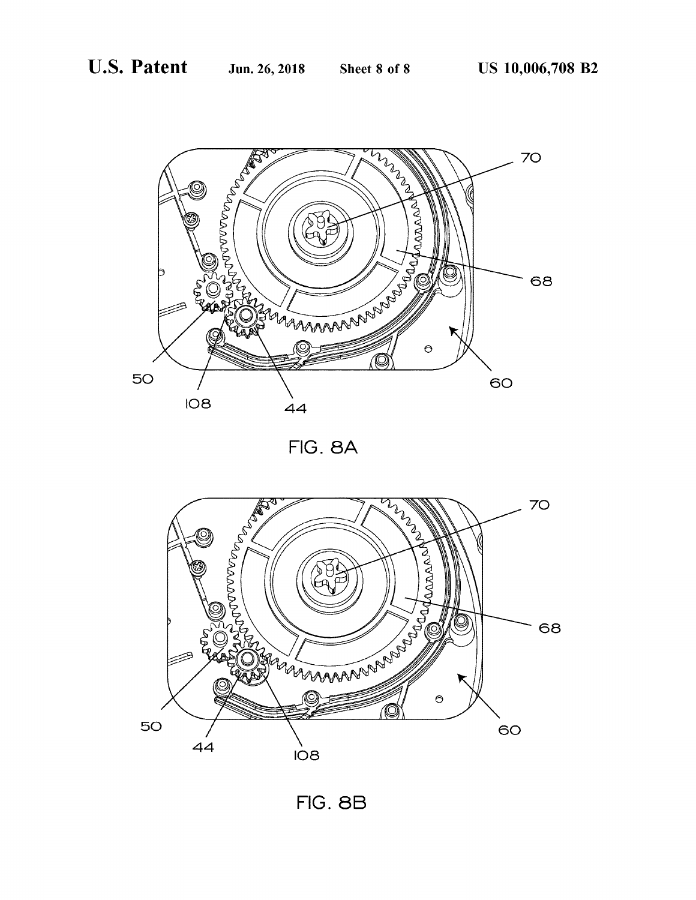

FIG. 8A



FIG. 8B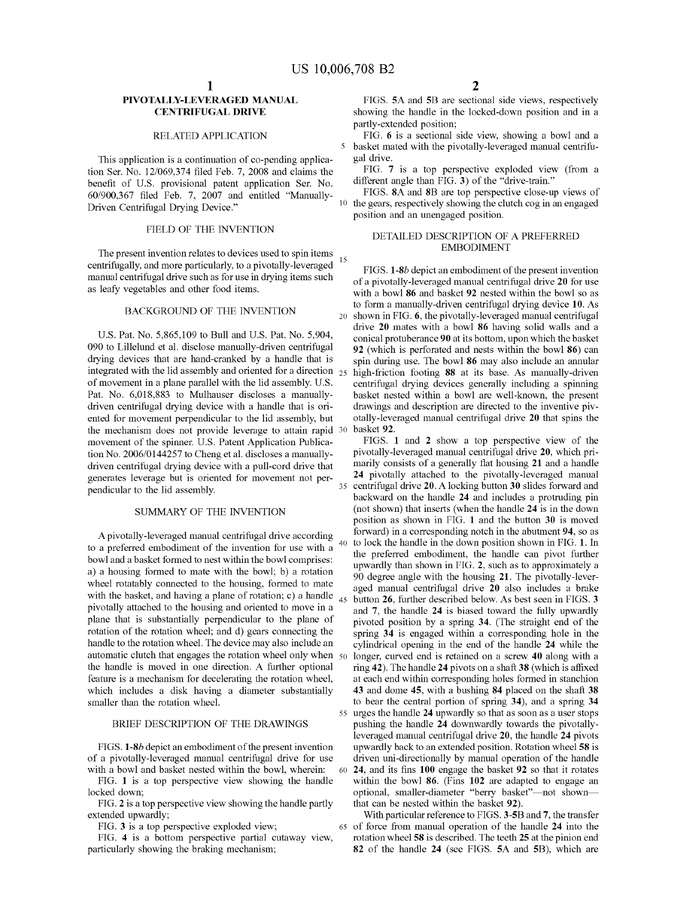This application is a continuation of co-pending applica-<br>tion Ser. No. 12/069,374 filed Feb. 7, 2008 and claims the FIG. 7 is a top perspective exploded view (from a<br>henefit of U.S. provisional patent application Ser No. benefit of U.S. provisional patent application Ser. No. different angle than FIG. 3) of the "drive-train."<br>60/000.367 filed Eeb 7, 2007 and entitled "Manually. FIGS. 8A and 8B are top perspective close-up views of 60/900,367 filed Feb 7, 2007 and entitled "Manually FIGS 8A and 8B are top perspective close-up views of Driven Centrifugal Drying Device."

The present invention relates to devices used to spin items<br>
centrifugally, and more particularly, to a pivotally-leveraged<br>
manual centrifugal drive such as for use in drying items such<br>
as leafy vegetables and other food

090 to Lillelund et al. disclose manually-driven centrifugal  $92$  (which is perforated and nests within the bowl 86 ) can drying devices that are hand-cranked by a handle that is spin during use. The bowl 86 may also incl drying devices that are hand-cranked by a handle that is spin during use. The bowl 86 may also include an annular integrated with the lid assembly and oriented for a direction  $25$  high-friction footing 88 at its base. As integrated with the lid assembly and oriented for a direction  $25$  high-friction footing 88 at its base. As manually-driven of movement in a plane parallel with the lid assembly. U.S. centrifugal drying devices generally of movement in a plane parallel with the lid assembly. U.S. centrifugal drying devices generally including a spinning<br>Pat. No. 6,018,883 to Mulhauser discloses a manually-<br>basket nested within a bowl are well-known, the pr Pat. No. 6,018,883 to Mulhauser discloses a manually-<br>diven centrifugal drying device with a handle that is ori-<br>drawings and description are directed to the inventive piv-<br>ented for movement perpendicular to the lid assem movement of the spinner. U.S. Patent Application Publica-<br>tion No. 2006/0144257 to Cheng et al. discloses a manually-<br>pivotally-leveraged manual centrifugal drive 20, which prition No. 2006/0144257 to Cheng et al. discloses a manually-<br>driven centrifugal drying device with a pull-cord drive that<br>marily consists of a generally flat housing 21 and a handle<br>generates leverage but is criented for mo generates leverage but is oriented for movement not perpendicular to the lid assembly.

to a preferred embodiment of the invention for use with a  $40\,$  to lock the handle in the down position shown in FIG. 1. In bowl and a basket formed to nest within the bowl comprises:<br>between the preferred embodiment, th the preferred embodiment of the handle can pivot function of the handle can pivot further and a basket formed to mate with the bowl; b) a rotation of degree angle with the housing 21. The pivotally-leverwheel rotatably connected to the housing, formed to mate<br>with the basket, and having a plane of rotation; c) a handle<br>with the basket, and having a plane of rotation; c) a handle<br>pivotally attached to the housing and orien plane that is substantially perpendicular to the plane of  $\frac{24}{3}$  is engaged within a corresponding hole in the rotation of the rotation wheel; and d) gears connecting the spring 34 is engaged within a corresponding ho rotation of the rotation wheel; and d) gears connecting the spring  $34$  is engaged within a corresponding hole in the handle to the rotation wheel. The device may also include an cylindrical onening in the end of the hand handle to the rotation wheel. The device may also include an cylindrical opening in the end of the handle 24 while the automatic clutch that engages the rotation wheel only when  $50 \text{ longer, curved end is retained on a screw 40 along with a}$ automatic clutch that engages the rotation wheel only when  $\frac{50}{10}$  longer, curved end is retained on a screw 40 along with a the handle is moved in one direction. A further optional ring 42). The handle 24 pivots on a the handle is moved in one direction. A further optional ring  $42$ ). The handle  $24$  pivots on a shaft  $38$  (which is affixed feature is a mechanism for decelerating the rotation wheel, at each end within corresponding ho feature is a mechanism for decelerating the rotation wheel, at each end within corresponding holes formed in stanchion which includes a disk having a diameter substantially 43 and dome 45, with a bushing 84 placed on the s which includes a disk having a diameter substantially 43 and dome 45, with a bushing 84 placed on the shaft 38 smaller than the rotation wheel. to bear the central portion of spring 34), and a spring 34

FIG. 1 is a top perspective view showing the handle locked down;

PIVOTALLY-LEVERAGED MANUAL FIGS. 5A and 5B are sectional side views, respectively<br>CENTRIFUGAL DRIVE showing the handle in the locked-down position and in a showing the handle in the locked-down position and in a partly-extended position;

RELATED APPLICATION FIG. 6 is a sectional side view, showing a bowl and a basket mated with the pivotally-leveraged manual centrifu-

Driven Centrifugal Drying Device." <sup>10</sup> the gears, respectively showing the clutch cog in an engaged position and an unengaged position.<br>FIELD OF THE INVENTION DETAILED DESCRIPTION OF A PREFERRED

with a bowl 86 and basket 92 nested within the bowl so as to form a manually-driven centrifugal drying device 10. As  $\text{BACKGROWND OF THE INVENTION}$  20 shown in FIG. 6, the pivotally-leveraged manual centrifugal drive 20 mates with a bowl 86 having solid walls and a U.S. Pat. No. 5,865,109 to Bull and U.S. Pat. No. 5,904,<br>090 to Lillelund et al. disclose manually-driven centrifugal 92 (which is perforated and nests within the bowl 86) can

centrifugal drive 20. A locking button 30 slides forward and backward on the handle 24 and includes a protruding pin (not shown) that inserts (when the handle 24 is in the down SUMMARY OF THE INVENTION (not shown) that inserts (when the handle  $24$  is in the down position as shown in FIG. 1 and the button  $30$  is moved A pivotally-leveraged manual centrifugal drive according forward) in a corresponding notch in the abutment 94, so as a proformal orthogonal of the invention for use with  $\epsilon$  40 to lock the handle in the down position show to bear the central portion of spring 34), and a spring 34 55 urges the handle 24 upwardly so that as soon as a user stops<br>pushing the handle 24 downwardly towards the pivotally-BRIEF DESCRIPTION OF THE DRAWINGS pushing the handle 24 downwardly towards the pivotally-<br>leveraged manual centrifugal drive 20, the handle 24 pivots FIGS. 1-8b depict an embodiment of the present invention upwardly back to an extended position. Rotation wheel 58 is of a pivotally-leveraged manual centrifugal drive for use driven uni-directionally by manual operation of of a pivotally-leveraged manual centrifugal drive for use driven uni-directionally by manual operation of the handle with a bowl and basket nested within the bowl, wherein: 60 24, and its fins 100 engage the basket 92 so t **24**, and its fins  $100$  engage the basket **92** so that it rotates within the bowl **86**. (Fins  $102$  are adapted to engage an cked down;<br>FIG. 2 is a top perspective view showing the handle partly that can be nested within the basket 92).

extended upwardly;<br>FIG. 3 is a top perspective exploded view;<br>FIG. 3 is a top perspective exploded view;<br> $\frac{65 \text{ of force from manual operation of the handle 24 into the total number of the handle 24.}$ FIG. 3 is a top perspective exploded view; 65 of force from manual operation of the handle 24 into the FIG. 4 is a bottom perspective partial cutaway view, rotation wheel 58 is described. The teeth 25 at the pinion end FIG. 4 is a bottom perspective partial cutaway view, rotation wheel 58 is described. The teeth 25 at the pinion end particularly showing the braking mechanism; 82 of the handle 24 (see FIGS. 5A and 5B), which are 82 of the handle 24 (see FIGS. 5A and 5B), which are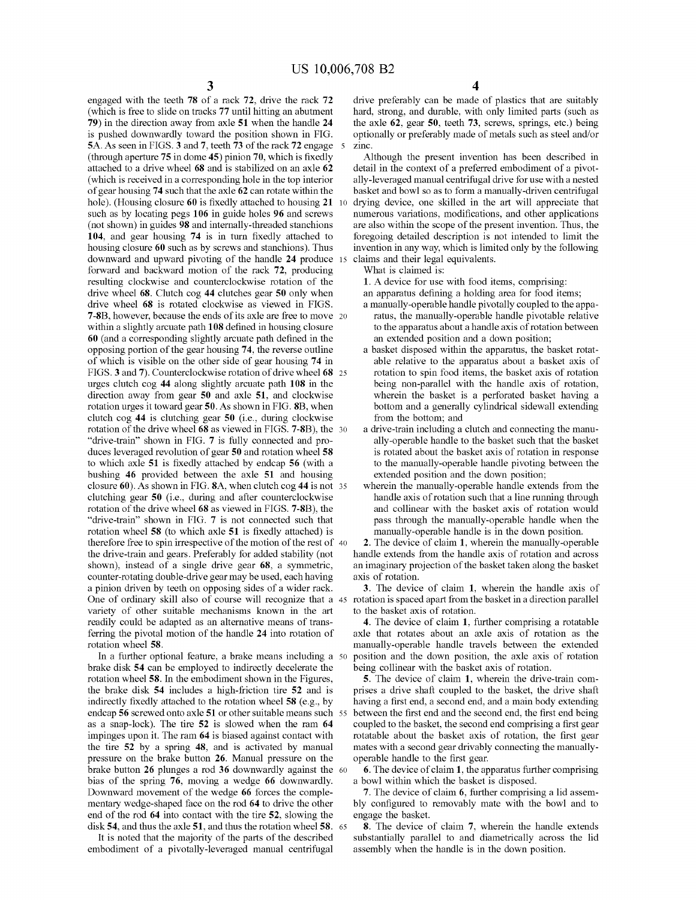engaged with the teeth 78 of a rack 72, drive the rack 72 (which is free to slide on tracks 77 until hitting an abutment 79) in the direction away from axle 51 when the handle 24 is pushed downwardly toward the position shown in FIG. 5A. As seen in FIGS. 3 and 7, teeth 73 of the rack 72 engage 5 (through aperture 75 in dome 45) pinion 70, which is fixedly attached to a drive wheel 68 and is stabilized on an axle 62 (which is received in a corresponding hole in the top interior of gear housing 74 such that the axle 62 can rotate within the hole). (Housing closure 60 is fixedly attached to housing 21  $10$ such as by locating pegs 106 in guide holes 96 and screws (not shown) in guides 98 and internally-threaded stanchions 104, and gear housing 74 is in turn fixedly attached to housing closure 60 such as by screws and stanchions). Thus downward and upward pivoting of the handle 24 produce 15 forward and backward motion of the rack 72, producing resulting clockwise and counterclockwise rotation of the drive wheel 68. Clutch cog 44 clutches gear 50 only when drive wheel 68 is rotated clockwise as viewed in FIGS. **7-8B**, however, because the ends of its axle are free to move 20 within a slightly arcuate path 108 defined in housing closure 60 (and a corresponding slightly arcuate path defined in the opposing portion of the gear housing 74, the reverse outline of which is visible on the other side of gear housing 74 in FIGS. 3 and 7). Counterclockwise rotation of drive wheel 68 25 urges clutch cog 44 along slightly arcuate path 108 in the direction away from gear 50 and axle 51, and clockwise rotation urges it toward gear 50. As shown in FIG. 8B, when clutch cog 44 is clutching gear 50 (i.e., during clockwise rotation of the drive wheel 68 as viewed in FIGS. 7-8B), the 30 "drive-train" shown in FIG. 7 is fully connected and produces leveraged revolution of gear 50 and rotation wheel 58 to which axle 51 is fixedly attached by endcap 56 (with a bushing 46 provided between the axle 51 and housing closure 60). As shown in FIG. 8A, when clutch cog 44 is not 35 clutching gear 50 (i.e., during and after counterclockwise rotation of the drive wheel 68 as viewed in FIGS. 7-8B), the "drive-train" shown in FIG. 7 is not connected such that rotation wheel 58 (to which axle 51 is fixedly attached) is therefore free to spin irrespective of the motion of the rest of 40 the drive-train and gears. Preferably for added stability (not shown), instead of a single drive gear 68, a symmetric, counter-rotating double-drive gear may be used, each having a pinion driven by teeth on opposing sides of a wider rack. One of ordinary skill also of course will recognize that a 45 variety of other suitable mechanisms known in the art readily could be adapted as an alternative means of transferring the pivotal motion of the handle 24 into rotation of rotation wheel 58.

In a further optional feature, a brake means including a 50 brake disk 54 can be employed to indirectly decelerate the rotation wheel 58. In the embodiment shown in the Figures, the brake disk 54 includes a high-friction tire 52 and is indirectly fixedly attached to the rotation wheel 58 (e.g., by endcap 56 screwed onto axle 51 or other suitable means such 55 as a snap-lock). The tire 52 is slowed when the ram 64 impinges upon it. The ram 64 is biased against contact with the tire 52 by a spring 48, and is activated by manual pressure on the brake button 26. Manual pressure on the brake button 26 plunges a rod 36 downwardly against the 60 bias of the spring 76, moving a wedge 66 downwardly. Downward movement of the wedge 66 forces the complementary wedge-shaped face on the rod 64 to drive the other end of the rod 64 into contact with the tire 52, slowing the disk 54, and thus the axle 51, and thus the rotation wheel 58. 65

It is noted that the majority of the parts of the described embodiment of a pivotally-leveraged manual centrifugal 4

drive preferably can be made of plastics that are suitably hard, strong, and durable, with only limited parts (such as the axle 62, gear 50, teeth 73, screws, springs, etc.) being optionally or preferably made of metals such as steel and/or zinc.

Although the present invention has been described in detail in the context of a preferred embodiment of a pivotally-leveraged manual centrifugal drive for use with a nested basket and bowl so as to form a manually-driven centrifugal drying device, one skilled in the art will appreciate that numerous variations, modifications, and other applications are also within the scope of the present invention. Thus, the foregoing detailed description is not intended to limit the invention in any way, which is limited only by the following claims and their legal equivalents.

What is claimed is:

1. A device for use with food items, comprising:

an apparatus defining a holding area for food items;

- a manually-operable handle pivotally coupled to the apparatus, the manually-operable handle pivotable relative to the apparatus about a handle axis of rotation between an extended position and a down position;
- a basket disposed within the apparatus, the basket rotatable relative to the apparatus about a basket axis of rotation to spin food items, the basket axis of rotation being non-parallel with the handle axis of rotation, wherein the basket is a perforated basket having a bottom and a generally cylindrical sidewall extending from the bottom; and
- a drive-train including a clutch and connecting the manually-operable handle to the basket such that the basket is rotated about the basket axis of rotation in response to the manually-operable handle pivoting between the extended position and the down position;
- wherein the manually-operable handle extends from the handle axis of rotation such that a line running through and collinear with the basket axis of rotation would pass through the manually-operable handle when the manually-operable handle is in the down position.

2. The device of claim 1, wherein the manually-operable handle extends from the handle axis of rotation and across an imaginary projection of the basket taken along the basket axis of rotation.

3. The device of claim 1, wherein the handle axis of rotation is spaced apart from the basket in a direction parallel to the basket axis of rotation.

4. The device of claim 1, further comprising a rotatable axle that rotates about an axle axis of rotation as the manually-operable handle travels between the extended position and the down position, the axle axis of rotation being collinear with the basket axis of rotation.

5. The device of claim 1, wherein the drive-train comprises a drive shaft coupled to the basket, the drive shaft having a first end, a second end, and a main body extending between the first end and the second end, the first end being coupled to the basket, the second end comprising a first gear rotatable about the basket axis of rotation, the first gear mates with a second gear drivably connecting the manuallyoperable handle to the first gear.

6. The device of claim 1, the apparatus further comprising a bowl within which the basket is disposed.

7. The device of claim 6, further comprising a lid assembly configured to removably mate with the bowl and to engage the basket.

8. The device of claim 7, wherein the handle extends substantially parallel to and diametrically across the lid assembly when the handle is in the down position.